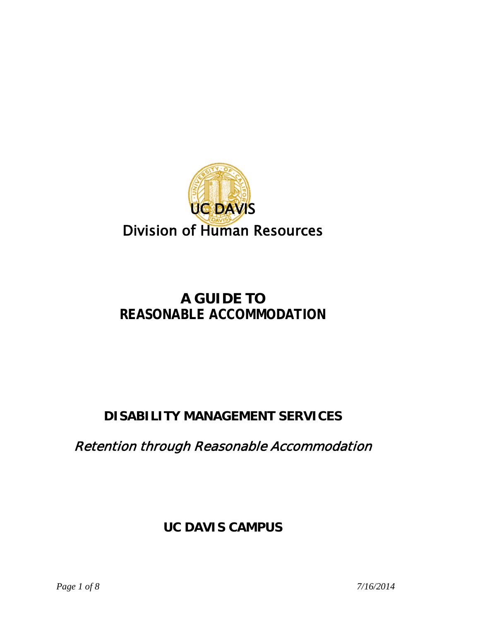

# **A GUIDE TO REASONABLE ACCOMMODATION**

# **DISABILITY MANAGEMENT SERVICES**

Retention through Reasonable Accommodation

## **UC DAVIS CAMPUS**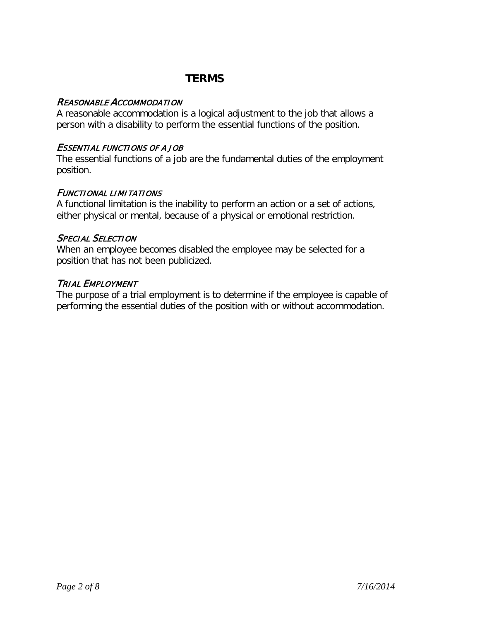## **TERMS**

#### REASONABLE ACCOMMODATION

A reasonable accommodation is a logical adjustment to the job that allows a person with a disability to perform the essential functions of the position.

#### ESSENTIAL FUNCTIONS OF A JOB

The essential functions of a job are the fundamental duties of the employment position.

#### FUNCTIONAL LIMITATIONS

A functional limitation is the inability to perform an action or a set of actions, either physical or mental, because of a physical or emotional restriction.

#### SPECIAL SELECTION

When an employee becomes disabled the employee may be selected for a position that has not been publicized.

#### TRIAL EMPLOYMENT

The purpose of a trial employment is to determine if the employee is capable of performing the essential duties of the position with or without accommodation.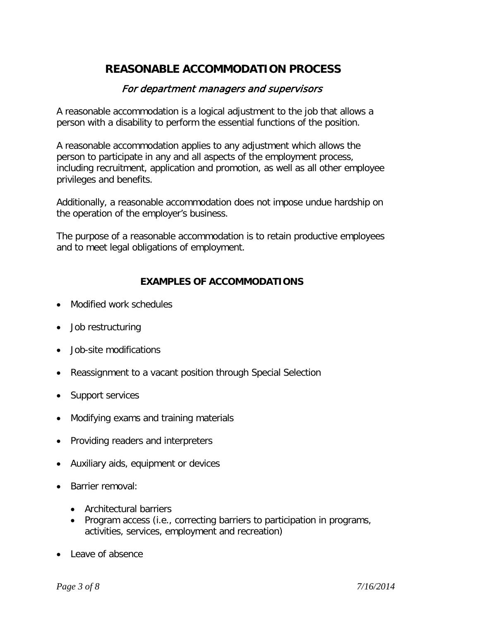## **REASONABLE ACCOMMODATION PROCESS**

#### For department managers and supervisors

A reasonable accommodation is a logical adjustment to the job that allows a person with a disability to perform the essential functions of the position.

A reasonable accommodation applies to any adjustment which allows the person to participate in any and all aspects of the employment process, including recruitment, application and promotion, as well as all other employee privileges and benefits.

Additionally, a reasonable accommodation does not impose undue hardship on the operation of the employer's business.

The purpose of a reasonable accommodation is to retain productive employees and to meet legal obligations of employment.

#### **EXAMPLES OF ACCOMMODATIONS**

- Modified work schedules
- Job restructuring
- Job-site modifications
- Reassignment to a vacant position through Special Selection
- Support services
- Modifying exams and training materials
- Providing readers and interpreters
- Auxiliary aids, equipment or devices
- Barrier removal:
	- Architectural barriers
	- Program access (i.e., correcting barriers to participation in programs, activities, services, employment and recreation)
- Leave of absence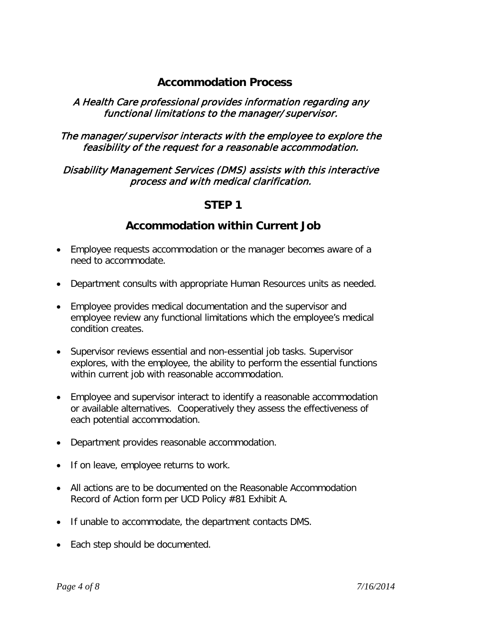#### **Accommodation Process**

#### A Health Care professional provides information regarding any functional limitations to the manager/supervisor.

#### The manager/ supervisor interacts with the employee to explore the feasibility of the request for a reasonable accommodation.

#### Disability Management Services (DMS) assists with this interactive process and with medical clarification.

#### **STEP 1**

## **Accommodation within Current Job**

- Employee requests accommodation or the manager becomes aware of a need to accommodate.
- Department consults with appropriate Human Resources units as needed.
- Employee provides medical documentation and the supervisor and employee review any functional limitations which the employee's medical condition creates.
- Supervisor reviews essential and non-essential job tasks. Supervisor explores, with the employee, the ability to perform the essential functions within current job with reasonable accommodation.
- Employee and supervisor interact to identify a reasonable accommodation or available alternatives. Cooperatively they assess the effectiveness of each potential accommodation.
- Department provides reasonable accommodation.
- If on leave, employee returns to work.
- All actions are to be documented on the Reasonable Accommodation Record of Action form per UCD Policy #81 Exhibit A.
- If unable to accommodate, the department contacts DMS.
- Each step should be documented.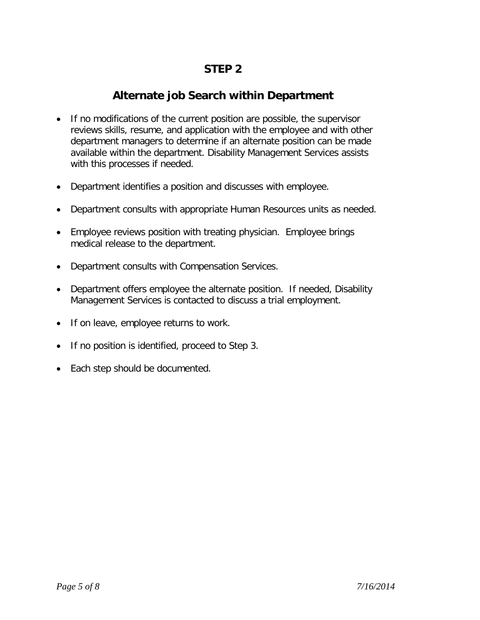## **STEP 2**

## **Alternate job Search within Department**

- If no modifications of the current position are possible, the supervisor reviews skills, resume, and application with the employee and with other department managers to determine if an alternate position can be made available within the department. Disability Management Services assists with this processes if needed.
- Department identifies a position and discusses with employee.
- Department consults with appropriate Human Resources units as needed.
- Employee reviews position with treating physician. Employee brings medical release to the department.
- Department consults with Compensation Services.
- Department offers employee the alternate position. If needed, Disability Management Services is contacted to discuss a trial employment.
- If on leave, employee returns to work.
- If no position is identified, proceed to Step 3.
- Each step should be documented.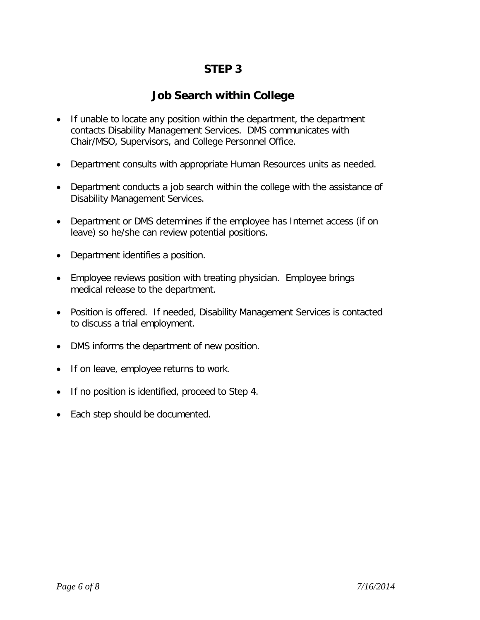## **STEP 3**

## **Job Search within College**

- If unable to locate any position within the department, the department contacts Disability Management Services. DMS communicates with Chair/MSO, Supervisors, and College Personnel Office.
- Department consults with appropriate Human Resources units as needed.
- Department conducts a job search within the college with the assistance of Disability Management Services.
- Department or DMS determines if the employee has Internet access (if on leave) so he/she can review potential positions.
- Department identifies a position.
- Employee reviews position with treating physician. Employee brings medical release to the department.
- Position is offered. If needed, Disability Management Services is contacted to discuss a trial employment.
- DMS informs the department of new position.
- If on leave, employee returns to work.
- If no position is identified, proceed to Step 4.
- Each step should be documented.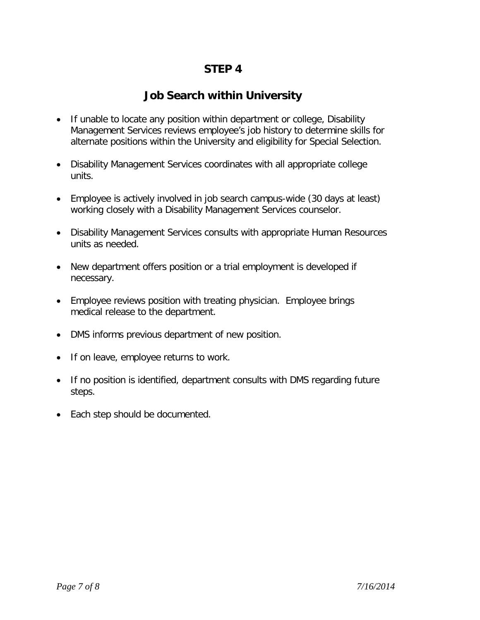## **STEP 4**

## **Job Search within University**

- If unable to locate any position within department or college, Disability Management Services reviews employee's job history to determine skills for alternate positions within the University and eligibility for Special Selection.
- Disability Management Services coordinates with all appropriate college units.
- Employee is actively involved in job search campus-wide (30 days at least) working closely with a Disability Management Services counselor.
- Disability Management Services consults with appropriate Human Resources units as needed.
- New department offers position or a trial employment is developed if necessary.
- Employee reviews position with treating physician. Employee brings medical release to the department.
- DMS informs previous department of new position.
- If on leave, employee returns to work.
- If no position is identified, department consults with DMS regarding future steps.
- Each step should be documented.